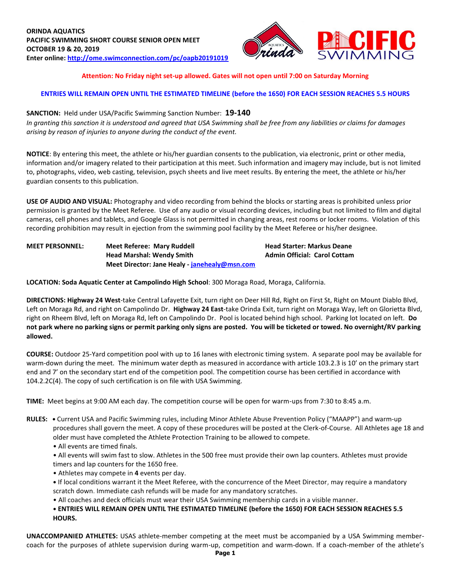

## **Attention: No Friday night set-up allowed. Gates will not open until 7:00 on Saturday Morning**

## **ENTRIES WILL REMAIN OPEN UNTIL THE ESTIMATED TIMELINE (before the 1650) FOR EACH SESSION REACHES 5.5 HOURS**

#### **SANCTION:** Held under USA/Pacific Swimming Sanction Number: **19-140**

*In granting this sanction it is understood and agreed that USA Swimming shall be free from any liabilities or claims for damages arising by reason of injuries to anyone during the conduct of the event.*

**NOTICE**: By entering this meet, the athlete or his/her guardian consents to the publication, via electronic, print or other media, information and/or imagery related to their participation at this meet. Such information and imagery may include, but is not limited to, photographs, video, web casting, television, psych sheets and live meet results. By entering the meet, the athlete or his/her guardian consents to this publication.

**USE OF AUDIO AND VISUAL:** Photography and video recording from behind the blocks or starting areas is prohibited unless prior permission is granted by the Meet Referee. Use of any audio or visual recording devices, including but not limited to film and digital cameras, cell phones and tablets, and Google Glass is not permitted in changing areas, rest rooms or locker rooms. Violation of this recording prohibition may result in ejection from the swimming pool facility by the Meet Referee or his/her designee.

**MEET PERSONNEL: Meet Referee: Mary Ruddell Head Starter: Markus Deane Head Marshal: Wendy Smith Admin Official: Carol Cottam Meet Director: Jane Healy - [janehealy@msn.com](mailto:janehealy@msn.com)**

**LOCATION: Soda Aquatic Center at Campolindo High School**: 300 Moraga Road, Moraga, California.

**DIRECTIONS: Highway 24 West**-take Central Lafayette Exit, turn right on Deer Hill Rd, Right on First St, Right on Mount Diablo Blvd, Left on Moraga Rd, and right on Campolindo Dr. **Highway 24 East**-take Orinda Exit, turn right on Moraga Way, left on Glorietta Blvd, right on Rheem Blvd, left on Moraga Rd, left on Campolindo Dr. Pool is located behind high school. Parking lot located on left. **Do not park where no parking signs or permit parking only signs are posted. You will be ticketed or towed. No overnight/RV parking allowed.**

**COURSE:** Outdoor 25-Yard competition pool with up to 16 lanes with electronic timing system. A separate pool may be available for warm-down during the meet. The minimum water depth as measured in accordance with article 103.2.3 is 10' on the primary start end and 7' on the secondary start end of the competition pool. The competition course has been certified in accordance with 104.2.2C(4). The copy of such certification is on file with USA Swimming.

**TIME:** Meet begins at 9:00 AM each day. The competition course will be open for warm-ups from 7:30 to 8:45 a.m.

- **RULES:** Current USA and Pacific Swimming rules, including Minor Athlete Abuse Prevention Policy ("MAAPP") and warm-up procedures shall govern the meet. A copy of these procedures will be posted at the Clerk-of-Course. All Athletes age 18 and older must have completed the Athlete Protection Training to be allowed to compete.
	- All events are timed finals.

• All events will swim fast to slow. Athletes in the 500 free must provide their own lap counters. Athletes must provide timers and lap counters for the 1650 free.

• Athletes may compete in **4** events per day.

**•** If local conditions warrant it the Meet Referee, with the concurrence of the Meet Director, may require a mandatory scratch down. Immediate cash refunds will be made for any mandatory scratches.

• All coaches and deck officials must wear their USA Swimming membership cards in a visible manner.

**• ENTRIES WILL REMAIN OPEN UNTIL THE ESTIMATED TIMELINE (before the 1650) FOR EACH SESSION REACHES 5.5 HOURS.**

**UNACCOMPANIED ATHLETES:** USAS athlete-member competing at the meet must be accompanied by a USA Swimming membercoach for the purposes of athlete supervision during warm-up, competition and warm-down. If a coach-member of the athlete's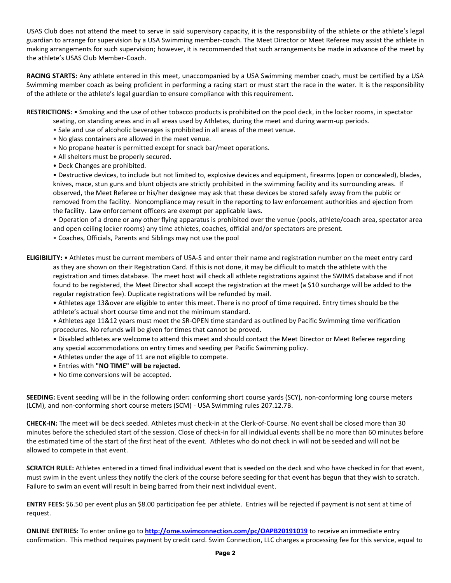USAS Club does not attend the meet to serve in said supervisory capacity, it is the responsibility of the athlete or the athlete's legal guardian to arrange for supervision by a USA Swimming member-coach. The Meet Director or Meet Referee may assist the athlete in making arrangements for such supervision; however, it is recommended that such arrangements be made in advance of the meet by the athlete's USAS Club Member-Coach.

**RACING STARTS:** Any athlete entered in this meet, unaccompanied by a USA Swimming member coach, must be certified by a USA Swimming member coach as being proficient in performing a racing start or must start the race in the water. It is the responsibility of the athlete or the athlete's legal guardian to ensure compliance with this requirement.

**RESTRICTIONS:** • Smoking and the use of other tobacco products is prohibited on the pool deck, in the locker rooms, in spectator

- seating, on standing areas and in all areas used by Athletes, during the meet and during warm-up periods.
- Sale and use of alcoholic beverages is prohibited in all areas of the meet venue.
- No glass containers are allowed in the meet venue.
- No propane heater is permitted except for snack bar/meet operations.
- All shelters must be properly secured.
- Deck Changes are prohibited.

• Destructive devices, to include but not limited to, explosive devices and equipment, firearms (open or concealed), blades, knives, mace, stun guns and blunt objects are strictly prohibited in the swimming facility and its surrounding areas. If observed, the Meet Referee or his/her designee may ask that these devices be stored safely away from the public or removed from the facility. Noncompliance may result in the reporting to law enforcement authorities and ejection from the facility. Law enforcement officers are exempt per applicable laws.

• Operation of a drone or any other flying apparatus is prohibited over the venue (pools, athlete/coach area, spectator area and open ceiling locker rooms) any time athletes, coaches, official and/or spectators are present.

• Coaches, Officials, Parents and Siblings may not use the pool

**ELIGIBILITY:** • Athletes must be current members of USA-S and enter their name and registration number on the meet entry card as they are shown on their Registration Card. If this is not done, it may be difficult to match the athlete with the registration and times database. The meet host will check all athlete registrations against the SWIMS database and if not found to be registered, the Meet Director shall accept the registration at the meet (a \$10 surcharge will be added to the regular registration fee). Duplicate registrations will be refunded by mail.

• Athletes age 13&over are eligible to enter this meet. There is no proof of time required. Entry times should be the athlete's actual short course time and not the minimum standard.

• Athletes age 11&12 years must meet the SR-OPEN time standard as outlined by Pacific Swimming time verification procedures. No refunds will be given for times that cannot be proved.

• Disabled athletes are welcome to attend this meet and should contact the Meet Director or Meet Referee regarding any special accommodations on entry times and seeding per Pacific Swimming policy.

- Athletes under the age of 11 are not eligible to compete.
- Entries with **"NO TIME" will be rejected.**
- No time conversions will be accepted.

**SEEDING:** Event seeding will be in the following order**:** conforming short course yards (SCY), non-conforming long course meters (LCM), and non-conforming short course meters (SCM) - USA Swimming rules 207.12.7B.

**CHECK-IN:** The meet will be deck seeded. Athletes must check-in at the Clerk-of-Course. No event shall be closed more than 30 minutes before the scheduled start of the session. Close of check-in for all individual events shall be no more than 60 minutes before the estimated time of the start of the first heat of the event. Athletes who do not check in will not be seeded and will not be allowed to compete in that event.

**SCRATCH RULE:** Athletes entered in a timed final individual event that is seeded on the deck and who have checked in for that event, must swim in the event unless they notify the clerk of the course before seeding for that event has begun that they wish to scratch. Failure to swim an event will result in being barred from their next individual event.

**ENTRY FEES:** \$6.50 per event plus an \$8.00 participation fee per athlete. Entries will be rejected if payment is not sent at time of request.

**ONLINE ENTRIES:** To enter online go to **<http://ome.swimconnection.com/pc/OAPB20191019>** to receive an immediate entry confirmation. This method requires payment by credit card. Swim Connection, LLC charges a processing fee for this service, equal to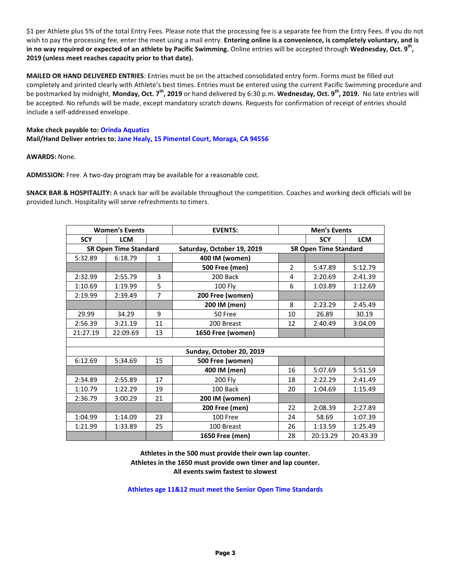\$1 per Athlete plus 5% of the total Entry Fees. Please note that the processing fee is a separate fee from the Entry Fees. If you do not wish to pay the processing fee, enter the meet using a mail entry. **Entering online is a convenience, is completely voluntary, and is in no way required or expected of an athlete by Pacific Swimming. Online entries will be accepted through Wednesday, Oct. 9<sup>th</sup>, 2019 (unless meet reaches capacity prior to that date).**

**MAILED OR HAND DELIVERED ENTRIES**: Entries must be on the attached consolidated entry form. Forms must be filled out completely and printed clearly with Athlete's best times. Entries must be entered using the current Pacific Swimming procedure and be postmarked by midnight, Monday, Oct. 7<sup>th</sup>, 2019 or hand delivered by 6:30 p.m. Wednesday, Oct. 9<sup>th</sup>, 2019. No late entries will be accepted. No refunds will be made, except mandatory scratch downs. Requests for confirmation of receipt of entries should include a self-addressed envelope.

# **Make check payable to: Orinda Aquatics Mail/Hand Deliver entries to: Jane Healy, 15 Pimentel Court, Moraga, CA 94556**

### **AWARDS:** None.

**ADMISSION:** Free. A two-day program may be available for a reasonable cost.

**SNACK BAR & HOSPITALITY:** A snack bar will be available throughout the competition. Coaches and working deck officials will be provided lunch. Hospitality will serve refreshments to timers.

|                              | <b>Women's Events</b> |                | <b>EVENTS:</b>             | <b>Men's Events</b> |                              |            |  |  |  |  |  |  |
|------------------------------|-----------------------|----------------|----------------------------|---------------------|------------------------------|------------|--|--|--|--|--|--|
| <b>SCY</b>                   | <b>LCM</b>            |                |                            |                     | <b>SCY</b>                   | <b>LCM</b> |  |  |  |  |  |  |
| <b>SR Open Time Standard</b> |                       |                | Saturday, October 19, 2019 |                     | <b>SR Open Time Standard</b> |            |  |  |  |  |  |  |
| 5:32.89                      | 6:18.79               | $\mathbf{1}$   | 400 IM (women)             |                     |                              |            |  |  |  |  |  |  |
|                              |                       |                | <b>500 Free (men)</b>      | $\overline{2}$      | 5:47.89                      | 5:12.79    |  |  |  |  |  |  |
| 2:32.99                      | 2:55.79               | 3              | 200 Back                   | 4                   | 2:20.69                      | 2:41.39    |  |  |  |  |  |  |
| 1:10.69                      | 1:19.99               | 5              | <b>100 Fly</b>             | 6                   | 1:03.89                      | 1:12.69    |  |  |  |  |  |  |
| 2:19.99                      | 2:39.49               | $\overline{7}$ | 200 Free (women)           |                     |                              |            |  |  |  |  |  |  |
|                              |                       |                | 200 IM (men)               | 8                   | 2:23.29                      | 2:45.49    |  |  |  |  |  |  |
| 29.99                        | 34.29                 | 9              | 50 Free                    | 10                  | 26.89                        | 30.19      |  |  |  |  |  |  |
| 2:56.39                      | 3:21.19               | 11             | 200 Breast                 | 12                  | 2:40.49                      | 3:04.09    |  |  |  |  |  |  |
| 21:27.19                     | 22:09.69              | 13             | 1650 Free (women)          |                     |                              |            |  |  |  |  |  |  |
|                              |                       |                |                            |                     |                              |            |  |  |  |  |  |  |
| Sunday, October 20, 2019     |                       |                |                            |                     |                              |            |  |  |  |  |  |  |
| 6:12.69                      | 5:34.69               | 15             | 500 Free (women)           |                     |                              |            |  |  |  |  |  |  |
|                              |                       |                | 400 IM (men)               | 16                  | 5:07.69                      | 5:51.59    |  |  |  |  |  |  |
| 2:34.89                      | 2:55.89               | 17             | 200 Fly                    | 18                  | 2:22.29                      | 2:41.49    |  |  |  |  |  |  |
| 1:10.79                      | 1:22.29               | 19             | 100 Back                   | 20                  | 1:04.69                      | 1:15.49    |  |  |  |  |  |  |
| 2:36.79                      | 3:00.29               | 21             | 200 IM (women)             |                     |                              |            |  |  |  |  |  |  |
|                              |                       |                | <b>200 Free (men)</b>      | 22                  | 2:08.39                      | 2:27.89    |  |  |  |  |  |  |
| 1:04.99                      | 1:14.09               | 23             | 100 Free                   | 24                  | 58.69                        | 1:07.39    |  |  |  |  |  |  |
| 1:21.99                      | 1:33.89               | 25             | 100 Breast                 | 26                  | 1:13.59                      | 1:25.49    |  |  |  |  |  |  |
|                              |                       |                | 1650 Free (men)            | 28                  | 20:13.29                     | 20:43.39   |  |  |  |  |  |  |

**Athletes in the 500 must provide their own lap counter. Athletes in the 1650 must provide own timer and lap counter. All events swim fastest to slowest**

**Athletes age 11&12 must meet the Senior Open Time Standards**